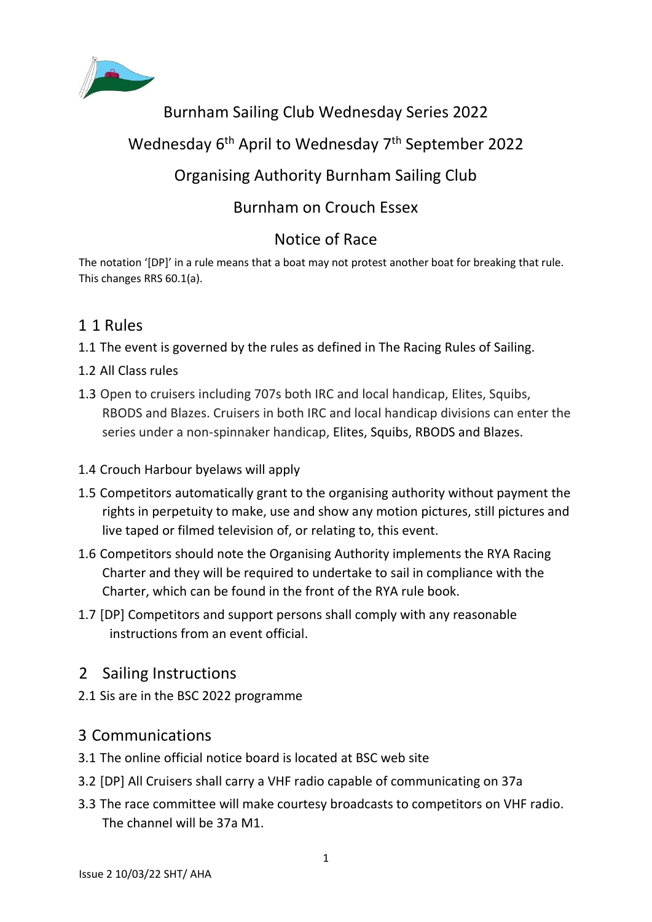

# Burnham Sailing Club Wednesday Series 2022

# Wednesday 6<sup>th</sup> April to Wednesday 7<sup>th</sup> September 2022

# Organising Authority Burnham Sailing Club

# Burnham on Crouch Essex

# Notice of Race

The notation '[DP]' in a rule means that a boat may not protest another boat for breaking that rule. This changes RRS 60.1(a).

## 1 1 Rules

- 1.1 The event is governed by the rules as defined in The Racing Rules of Sailing.
- 1.2 All Class rules
- 1.3 Open to cruisers including 707s both IRC and local handicap, Elites, Squibs, RBODS and Blazes. Cruisers in both IRC and local handicap divisions can enter the series under a non-spinnaker handicap, Elites, Squibs, RBODS and Blazes.
- 1.4 Crouch Harbour byelaws will apply
- 1.5 Competitors automatically grant to the organising authority without payment the rights in perpetuity to make, use and show any motion pictures, still pictures and live taped or filmed television of, or relating to, this event.
- 1.6 Competitors should note the Organising Authority implements the RYA Racing Charter and they will be required to undertake to sail in compliance with the Charter, which can be found in the front of the RYA rule book.
- 1.7 [DP] Competitors and support persons shall comply with any reasonable instructions from an event official.
- 2 Sailing Instructions
- 2.1 Sis are in the BSC 2022 programme

## 3 Communications

- 3.1 The online official notice board is located at BSC web site
- 3.2 [DP] All Cruisers shall carry a VHF radio capable of communicating on 37a
- 3.3 The race committee will make courtesy broadcasts to competitors on VHF radio. The channel will be 37a M1.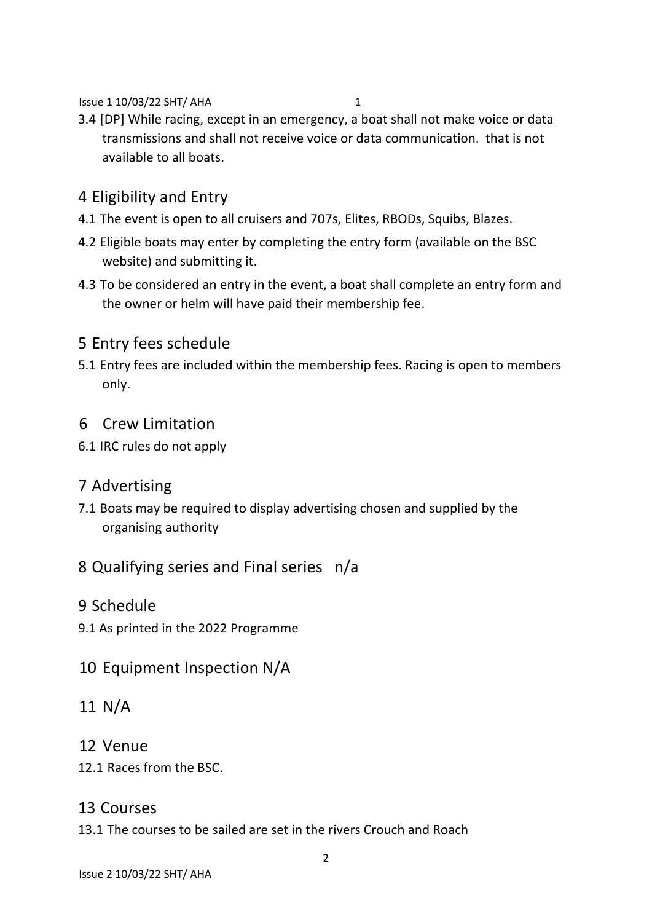Issue 1 10/03/22 SHT/ AHA 1

3.4 [DP] While racing, except in an emergency, a boat shall not make voice or data transmissions and shall not receive voice or data communication. that is not available to all boats.

# 4 Eligibility and Entry

- 4.1 The event is open to all cruisers and 707s, Elites, RBODs, Squibs, Blazes.
- 4.2 Eligible boats may enter by completing the entry form (available on the BSC website) and submitting it.
- 4.3 To be considered an entry in the event, a boat shall complete an entry form and the owner or helm will have paid their membership fee.

## 5 Entry fees schedule

5.1 Entry fees are included within the membership fees. Racing is open to members only.

#### 6 Crew Limitation

6.1 IRC rules do not apply

## 7 Advertising

7.1 Boats may be required to display advertising chosen and supplied by the organising authority

## 8 Qualifying series and Final series n/a

- 9 Schedule
- 9.1 As printed in the 2022 Programme

## 10 Equipment Inspection N/A

- 11 N/A
- 12 Venue
- 12.1 Races from the BSC.

#### 13 Courses

13.1 The courses to be sailed are set in the rivers Crouch and Roach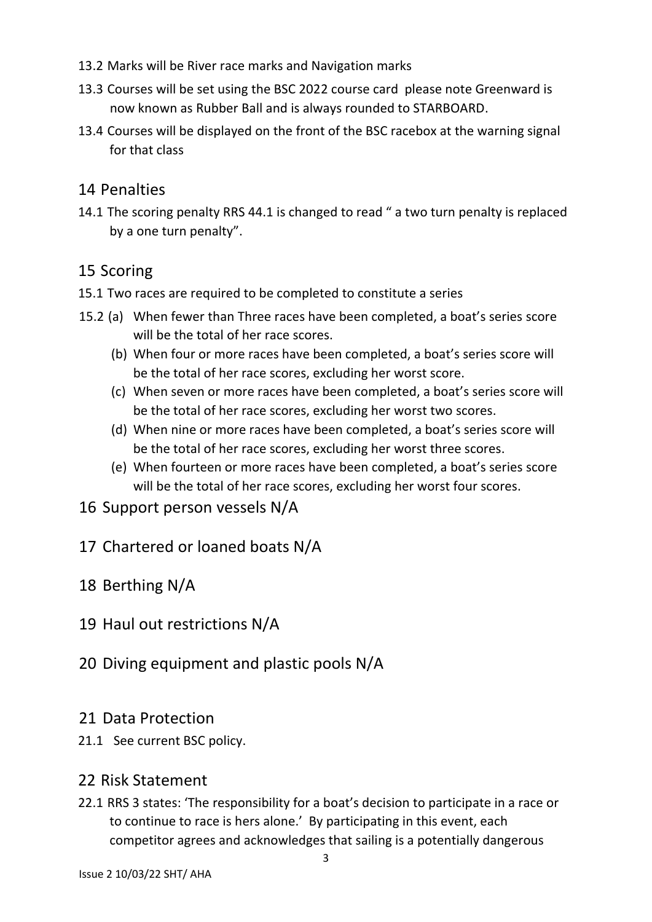- 13.2 Marks will be River race marks and Navigation marks
- 13.3 Courses will be set using the BSC 2022 course card please note Greenward is now known as Rubber Ball and is always rounded to STARBOARD.
- 13.4 Courses will be displayed on the front of the BSC racebox at the warning signal for that class

## 14 Penalties

14.1 The scoring penalty RRS 44.1 is changed to read " a two turn penalty is replaced by a one turn penalty".

#### 15 Scoring

- 15.1 Two races are required to be completed to constitute a series
- 15.2 (a) When fewer than Three races have been completed, a boat's series score will be the total of her race scores.
	- (b) When four or more races have been completed, a boat's series score will be the total of her race scores, excluding her worst score.
	- (c) When seven or more races have been completed, a boat's series score will be the total of her race scores, excluding her worst two scores.
	- (d) When nine or more races have been completed, a boat's series score will be the total of her race scores, excluding her worst three scores.
	- (e) When fourteen or more races have been completed, a boat's series score will be the total of her race scores, excluding her worst four scores.
- 16 Support person vessels N/A
- 17 Chartered or loaned boats N/A
- 18 Berthing N/A
- 19 Haul out restrictions N/A
- 20 Diving equipment and plastic pools N/A
- 21 Data Protection
- 21.1 See current BSC policy.

## 22 Risk Statement

22.1 RRS 3 states: 'The responsibility for a boat's decision to participate in a race or to continue to race is hers alone.' By participating in this event, each competitor agrees and acknowledges that sailing is a potentially dangerous